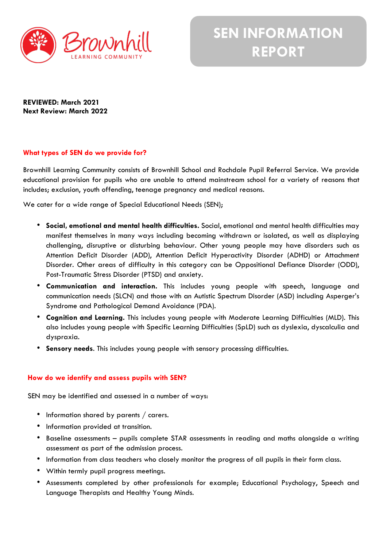

**REVIEWED: March 2021 Next Review: March 2022**

# **What types of SEN do we provide for?**

Brownhill Learning Community consists of Brownhill School and Rochdale Pupil Referral Service. We provide educational provision for pupils who are unable to attend mainstream school for a variety of reasons that includes; exclusion, youth offending, teenage pregnancy and medical reasons.

We cater for a wide range of Special Educational Needs (SEN);

- **Social, emotional and mental health difficulties.** Social, emotional and mental health difficulties may manifest themselves in many ways including becoming withdrawn or isolated, as well as displaying challenging, disruptive or disturbing behaviour. Other young people may have disorders such as Attention Deficit Disorder (ADD), Attention Deficit Hyperactivity Disorder (ADHD) or Attachment Disorder. Other areas of difficulty in this category can be Oppositional Defiance Disorder (ODD), Post-Traumatic Stress Disorder (PTSD) and anxiety.
- **Communication and interaction.** This includes young people with speech, language and communication needs (SLCN) and those with an Autistic Spectrum Disorder (ASD) including Asperger's Syndrome and Pathological Demand Avoidance (PDA).
- **Cognition and Learning.** This includes young people with Moderate Learning Difficulties (MLD). This also includes young people with Specific Learning Difficulties (SpLD) such as dyslexia, dyscalculia and dyspraxia.
- **Sensory needs**. This includes young people with sensory processing difficulties.

## **How do we identify and assess pupils with SEN?**

SEN may be identified and assessed in a number of ways:

- Information shared by parents / carers.
- Information provided at transition.
- Baseline assessments pupils complete STAR assessments in reading and maths alongside a writing assessment as part of the admission process.
- Information from class teachers who closely monitor the progress of all pupils in their form class.
- Within termly pupil progress meetings.
- Assessments completed by other professionals for example; Educational Psychology, Speech and Language Therapists and Healthy Young Minds.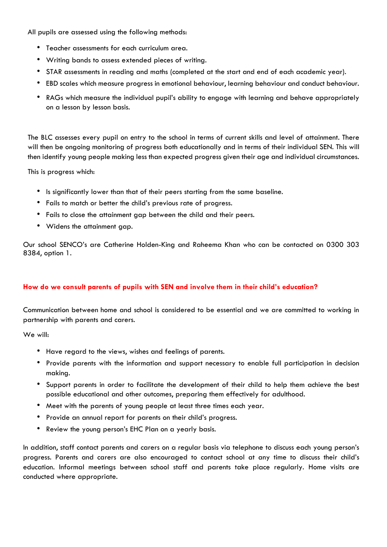All pupils are assessed using the following methods:

- Teacher assessments for each curriculum area.
- Writing bands to assess extended pieces of writing.
- STAR assessments in reading and maths (completed at the start and end of each academic year).
- EBD scales which measure progress in emotional behaviour, learning behaviour and conduct behaviour.
- RAGs which measure the individual pupil's ability to engage with learning and behave appropriately on a lesson by lesson basis.

The BLC assesses every pupil on entry to the school in terms of current skills and level of attainment. There will then be ongoing monitoring of progress both educationally and in terms of their individual SEN. This will then identify young people making less than expected progress given their age and individual circumstances.

This is progress which:

- Is significantly lower than that of their peers starting from the same baseline.
- Fails to match or better the child's previous rate of progress.
- Fails to close the attainment gap between the child and their peers.
- Widens the attainment gap.

Our school SENCO's are Catherine Holden-King and Raheema Khan who can be contacted on 0300 303 8384, option 1.

## **How do we consult parents of pupils with SEN and involve them in their child's education?**

Communication between home and school is considered to be essential and we are committed to working in partnership with parents and carers.

We will:

- Have regard to the views, wishes and feelings of parents.
- Provide parents with the information and support necessary to enable full participation in decision making.
- Support parents in order to facilitate the development of their child to help them achieve the best possible educational and other outcomes, preparing them effectively for adulthood.
- Meet with the parents of young people at least three times each year.
- Provide an annual report for parents on their child's progress.
- Review the young person's EHC Plan on a yearly basis.

In addition, staff contact parents and carers on a regular basis via telephone to discuss each young person's progress. Parents and carers are also encouraged to contact school at any time to discuss their child's education. Informal meetings between school staff and parents take place regularly. Home visits are conducted where appropriate.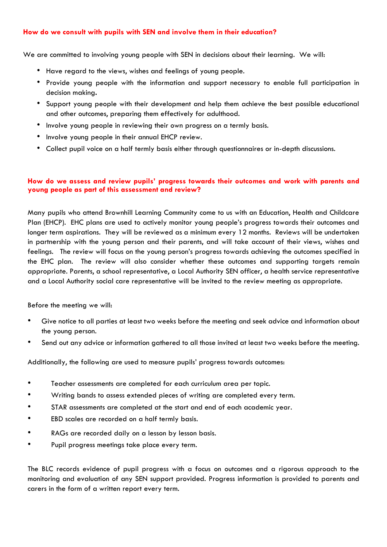## **How do we consult with pupils with SEN and involve them in their education?**

We are committed to involving young people with SEN in decisions about their learning. We will:

- Have regard to the views, wishes and feelings of young people.
- Provide young people with the information and support necessary to enable full participation in decision making**.**
- Support young people with their development and help them achieve the best possible educational and other outcomes, preparing them effectively for adulthood.
- Involve young people in reviewing their own progress on a termly basis.
- Involve young people in their annual EHCP review.
- Collect pupil voice on a half termly basis either through questionnaires or in-depth discussions.

### **How do we assess and review pupils' progress towards their outcomes and work with parents and young people as part of this assessment and review?**

Many pupils who attend Brownhill Learning Community come to us with an Education, Health and Childcare Plan (EHCP). EHC plans are used to actively monitor young people's progress towards their outcomes and longer term aspirations. They will be reviewed as a minimum every 12 months. Reviews will be undertaken in partnership with the young person and their parents, and will take account of their views, wishes and feelings. The review will focus on the young person's progress towards achieving the outcomes specified in the EHC plan. The review will also consider whether these outcomes and supporting targets remain appropriate. Parents, a school representative, a Local Authority SEN officer, a health service representative and a Local Authority social care representative will be invited to the review meeting as appropriate.

Before the meeting we will:

- Give notice to all parties at least two weeks before the meeting and seek advice and information about the young person.
- Send out any advice or information gathered to all those invited at least two weeks before the meeting.

Additionally, the following are used to measure pupils' progress towards outcomes:

- Teacher assessments are completed for each curriculum area per topic.
- Writing bands to assess extended pieces of writing are completed every term.
- STAR assessments are completed at the start and end of each academic year.
- EBD scales are recorded on a half termly basis.
- RAGs are recorded daily on a lesson by lesson basis.
- Pupil progress meetings take place every term.

The BLC records evidence of pupil progress with a focus on outcomes and a rigorous approach to the monitoring and evaluation of any SEN support provided. Progress information is provided to parents and carers in the form of a written report every term.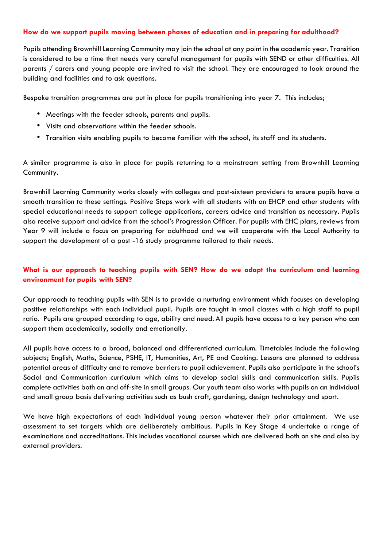### **How do we support pupils moving between phases of education and in preparing for adulthood?**

Pupils attending Brownhill Learning Community may join the school at any point in the academic year. Transition is considered to be a time that needs very careful management for pupils with SEND or other difficulties. All parents / carers and young people are invited to visit the school. They are encouraged to look around the building and facilities and to ask questions.

Bespoke transition programmes are put in place for pupils transitioning into year 7. This includes;

- Meetings with the feeder schools, parents and pupils.
- Visits and observations within the feeder schools.
- Transition visits enabling pupils to become familiar with the school, its staff and its students.

A similar programme is also in place for pupils returning to a mainstream setting from Brownhill Learning Community.

Brownhill Learning Community works closely with colleges and post-sixteen providers to ensure pupils have a smooth transition to these settings. Positive Steps work with all students with an EHCP and other students with special educational needs to support college applications, careers advice and transition as necessary. Pupils also receive support and advice from the school's Progression Officer. For pupils with EHC plans, reviews from Year 9 will include a focus on preparing for adulthood and we will cooperate with the Local Authority to support the development of a post -16 study programme tailored to their needs.

# **What is our approach to teaching pupils with SEN? How do we adapt the curriculum and learning environment for pupils with SEN?**

Our approach to teaching pupils with SEN is to provide a nurturing environment which focuses on developing positive relationships with each individual pupil. Pupils are taught in small classes with a high staff to pupil ratio. Pupils are grouped according to age, ability and need. All pupils have access to a key person who can support them academically, socially and emotionally.

All pupils have access to a broad, balanced and differentiated curriculum. Timetables include the following subjects; English, Maths, Science, PSHE, IT, Humanities, Art, PE and Cooking. Lessons are planned to address potential areas of difficulty and to remove barriers to pupil achievement. Pupils also participate in the school's Social and Communication curriculum which aims to develop social skills and communication skills. Pupils complete activities both on and off-site in small groups. Our youth team also works with pupils on an individual and small group basis delivering activities such as bush craft, gardening, design technology and sport.

We have high expectations of each individual young person whatever their prior attainment. We use assessment to set targets which are deliberately ambitious. Pupils in Key Stage 4 undertake a range of examinations and accreditations. This includes vocational courses which are delivered both on site and also by external providers.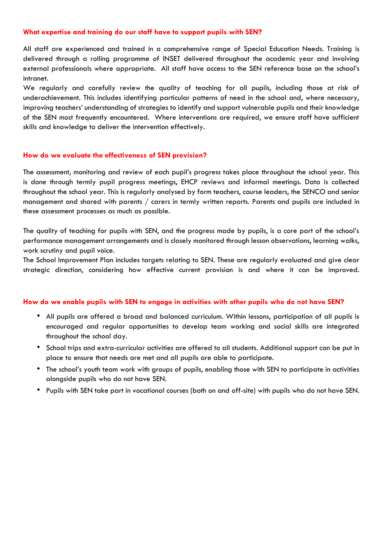### **What expertise and training do our staff have to support pupils with SEN?**

All staff are experienced and trained in a comprehensive range of Special Education Needs. Training is delivered through a rolling programme of INSET delivered throughout the academic year and involving external professionals where appropriate. All staff have access to the SEN reference base on the school's intranet.

We regularly and carefully review the quality of teaching for all pupils, including those at risk of underachievement. This includes identifying particular patterns of need in the school and, where necessary, improving teachers' understanding of strategies to identify and support vulnerable pupils and their knowledge of the SEN most frequently encountered. Where interventions are required, we ensure staff have sufficient skills and knowledge to deliver the intervention effectively.

### **How do we evaluate the effectiveness of SEN provision?**

The assessment, monitoring and review of each pupil's progress takes place throughout the school year. This is done through termly pupil progress meetings, EHCP reviews and informal meetings. Data is collected throughout the school year. This is regularly analysed by form teachers, course leaders, the SENCO and senior management and shared with parents / carers in termly written reports. Parents and pupils are included in these assessment processes as much as possible.

The quality of teaching for pupils with SEN, and the progress made by pupils, is a core part of the school's performance management arrangements and is closely monitored through lesson observations, learning walks, work scrutiny and pupil voice.

The School Improvement Plan includes targets relating to SEN. These are regularly evaluated and give clear strategic direction, considering how effective current provision is and where it can be improved.

#### **How do we enable pupils with SEN to engage in activities with other pupils who do not have SEN?**

- All pupils are offered a broad and balanced curriculum. Within lessons, participation of all pupils is encouraged and regular opportunities to develop team working and social skills are integrated throughout the school day.
- School trips and extra-curricular activities are offered to all students. Additional support can be put in place to ensure that needs are met and all pupils are able to participate.
- The school's youth team work with groups of pupils, enabling those with SEN to participate in activities alongside pupils who do not have SEN.
- Pupils with SEN take part in vocational courses (both on and off-site) with pupils who do not have SEN.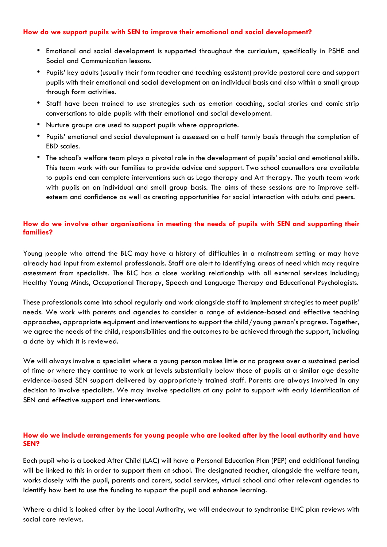### **How do we support pupils with SEN to improve their emotional and social development?**

- Emotional and social development is supported throughout the curriculum, specifically in PSHE and Social and Communication lessons.
- Pupils' key adults (usually their form teacher and teaching assistant) provide pastoral care and support pupils with their emotional and social development on an individual basis and also within a small group through form activities.
- Staff have been trained to use strategies such as emotion coaching, social stories and comic strip conversations to aide pupils with their emotional and social development.
- Nurture groups are used to support pupils where appropriate.
- Pupils' emotional and social development is assessed on a half termly basis through the completion of EBD scales.
- The school's welfare team plays a pivotal role in the development of pupils' social and emotional skills. This team work with our families to provide advice and support. Two school counsellors are available to pupils and can complete interventions such as Lego therapy and Art therapy. The youth team work with pupils on an individual and small group basis. The aims of these sessions are to improve selfesteem and confidence as well as creating opportunities for social interaction with adults and peers.

# **How do we involve other organisations in meeting the needs of pupils with SEN and supporting their families?**

Young people who attend the BLC may have a history of difficulties in a mainstream setting or may have already had input from external professionals. Staff are alert to identifying areas of need which may require assessment from specialists. The BLC has a close working relationship with all external services including; Healthy Young Minds, Occupational Therapy, Speech and Language Therapy and Educational Psychologists.

These professionals come into school regularly and work alongside staff to implement strategies to meet pupils' needs. We work with parents and agencies to consider a range of evidence-based and effective teaching approaches, appropriate equipment and interventions to support the child/young person's progress. Together, we agree the needs of the child, responsibilities and the outcomes to be achieved through the support, including a date by which it is reviewed.

We will always involve a specialist where a young person makes little or no progress over a sustained period of time or where they continue to work at levels substantially below those of pupils at a similar age despite evidence-based SEN support delivered by appropriately trained staff. Parents are always involved in any decision to involve specialists. We may involve specialists at any point to support with early identification of SEN and effective support and interventions.

## **How do we include arrangements for young people who are looked after by the local authority and have SEN?**

Each pupil who is a Looked After Child (LAC) will have a Personal Education Plan (PEP) and additional funding will be linked to this in order to support them at school. The designated teacher, alongside the welfare team, works closely with the pupil, parents and carers, social services, virtual school and other relevant agencies to identify how best to use the funding to support the pupil and enhance learning.

Where a child is looked after by the Local Authority, we will endeavour to synchronise EHC plan reviews with social care reviews.